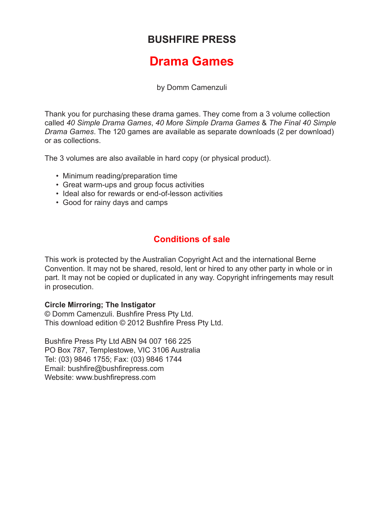## **BUSHFIRE PRESS**

## **Drama Games**

by Domm Camenzuli

Thank you for purchasing these drama games. They come from a 3 volume collection called *40 Simple Drama Games*, *40 More Simple Drama Games* & *The Final 40 Simple Drama Games*. The 120 games are available as separate downloads (2 per download) or as collections.

The 3 volumes are also available in hard copy (or physical product).

- Minimum reading/preparation time
- Great warm-ups and group focus activities
- Ideal also for rewards or end-of-lesson activities
- Good for rainy days and camps

## **Conditions of sale**

This work is protected by the Australian Copyright Act and the international Berne Convention. It may not be shared, resold, lent or hired to any other party in whole or in part. It may not be copied or duplicated in any way. Copyright infringements may result in prosecution.

## **Circle Mirroring; The Instigator**

© Domm Camenzuli. Bushfire Press Pty Ltd. This download edition © 2012 Bushfire Press Pty Ltd.

Bushfire Press Pty Ltd ABN 94 007 166 225 PO Box 787, Templestowe, VIC 3106 Australia Tel: (03) 9846 1755; Fax: (03) 9846 1744 Email: bushfire@bushfirepress.com Website: www.bushfirepress.com